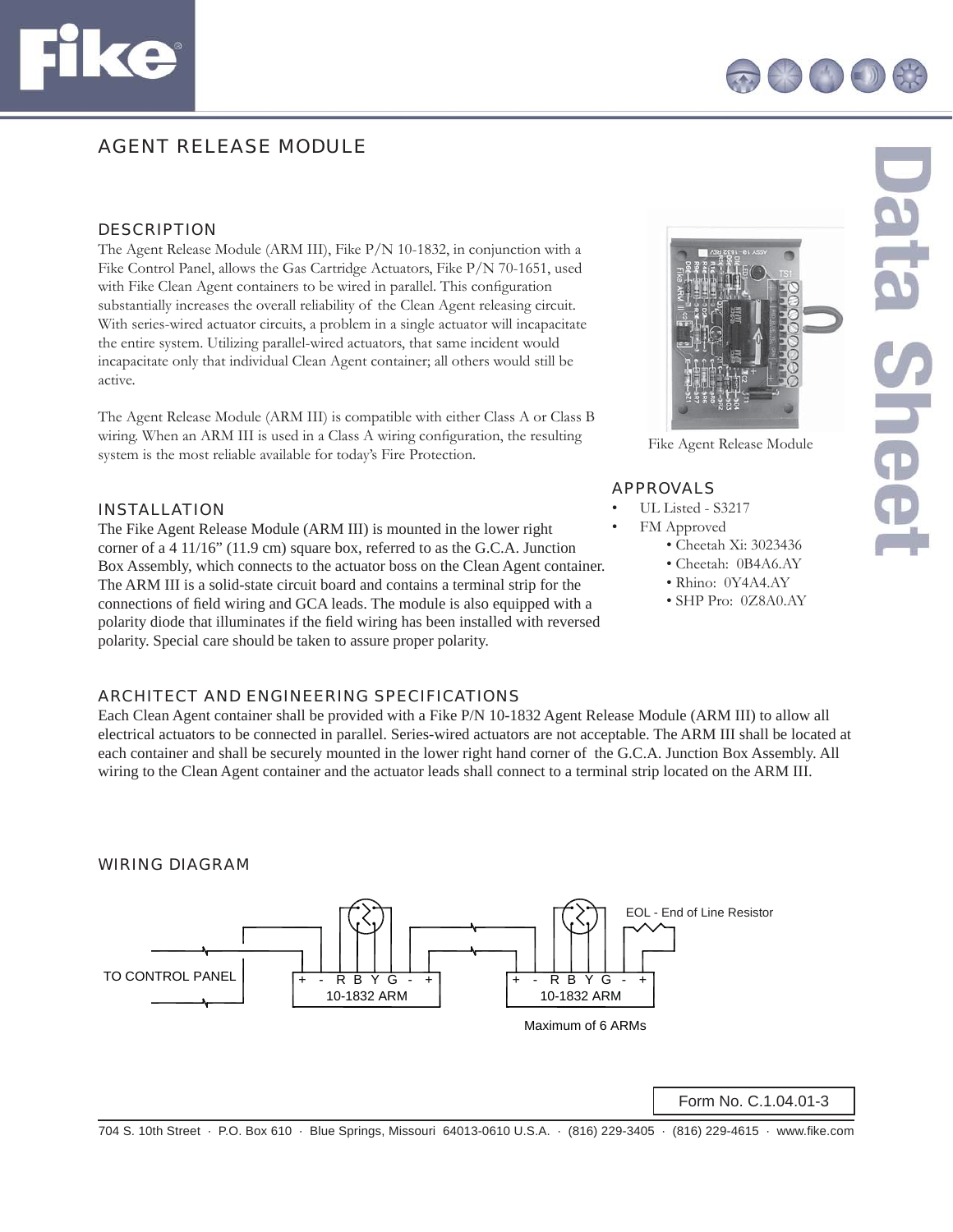

# AGENT RELEASE MODULE

## **DESCRIPTION**

The Agent Release Module (ARM III), Fike P/N 10-1832, in conjunction with a Fike Control Panel, allows the Gas Cartridge Actuators, Fike P/N 70-1651, used with Fike Clean Agent containers to be wired in parallel. This configuration substantially increases the overall reliability of the Clean Agent releasing circuit. With series-wired actuator circuits, a problem in a single actuator will incapacitate the entire system. Utilizing parallel-wired actuators, that same incident would incapacitate only that individual Clean Agent container; all others would still be active.

The Agent Release Module (ARM III) is compatible with either Class A or Class B wiring. When an ARM III is used in a Class A wiring configuration, the resulting system is the most reliable available for today's Fire Protection.

## INSTALLATION

The Fike Agent Release Module (ARM III) is mounted in the lower right corner of a 4 11/16" (11.9 cm) square box, referred to as the G.C.A. Junction Box Assembly, which connects to the actuator boss on the Clean Agent container. The ARM III is a solid-state circuit board and contains a terminal strip for the connections of field wiring and GCA leads. The module is also equipped with a polarity diode that illuminates if the field wiring has been installed with reversed polarity. Special care should be taken to assure proper polarity.

## ARCHITECT AND ENGINEERING SPECIFICATIONS



Fike Agent Release Module

## APPROVALS

- UL Listed S3217
- FM Approved
	- Cheetah Xi: 3023436
	- Cheetah: 0B4A6.AY
	- Rhino: 0Y4A4.AY
	- SHP Pro: 0Z8A0.AY

Each Clean Agent container shall be provided with a Fike P/N 10-1832 Agent Release Module (ARM III) to allow all electrical actuators to be connected in parallel. Series-wired actuators are not acceptable. The ARM III shall be located at each container and shall be securely mounted in the lower right hand corner of the G.C.A. Junction Box Assembly. All wiring to the Clean Agent container and the actuator leads shall connect to a terminal strip located on the ARM III.

## WIRING DIAGRAM



Form No. C.1.04.01-3

704 S. 10th Street · P.O. Box 610 · Blue Springs, Missouri 64013-0610 U.S.A. · (816) 229-3405 · (816) 229-4615 · www.fike.com